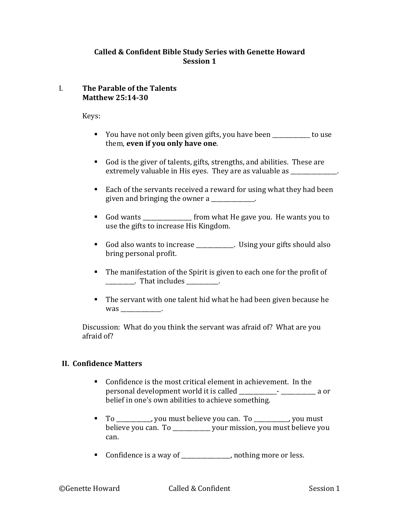### **Called & Confident Bible Study Series with Genette Howard Session 1**

#### I. The Parable of the Talents **Matthew 25:14-30**

Keys:

- You have not only been given gifts, you have been \_\_\_\_\_\_\_\_\_\_\_ to use them, even if you only have one.
- God is the giver of talents, gifts, strengths, and abilities. These are extremely valuable in His eyes. They are as valuable as  $\Box$
- Each of the servants received a reward for using what they had been given and bringing the owner  $a$
- God wants \_\_\_\_\_\_\_\_\_\_\_\_\_\_\_\_\_\_\_ from what He gave you. He wants you to use the gifts to increase His Kingdom.
- God also wants to increase \_\_\_\_\_\_\_\_\_\_. Using your gifts should also bring personal profit.
- The manifestation of the Spirit is given to each one for the profit of \_\_\_\_\_\_\_\_\_\_\_. That includes \_\_\_\_\_\_\_\_\_.
- The servant with one talent hid what he had been given because he was .

Discussion: What do you think the servant was afraid of? What are you afraid of?

# **II. Confidence Matters**

- $\blacksquare$  Confidence is the most critical element in achievement. In the personal development world it is called \_\_\_\_\_\_\_\_\_\_\_\_\_- \_\_\_\_\_\_\_\_\_\_\_\_ a or belief in one's own abilities to achieve something.
- To \_\_\_\_\_\_\_\_\_, you must believe you can. To \_\_\_\_\_\_\_\_, you must believe you can. To \_\_\_\_\_\_\_\_\_\_\_ your mission, you must believe you can.
- Confidence is a way of \_\_\_\_\_\_\_\_\_\_\_\_\_, nothing more or less.